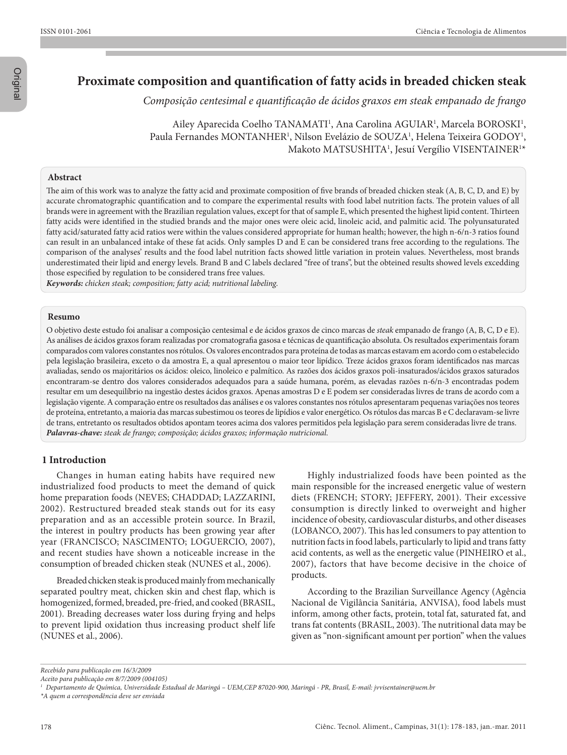Original

# **Proximate composition and quantification of fatty acids in breaded chicken steak**

*Composição centesimal e quantificação de ácidos graxos em steak empanado de frango*

Ailey Aparecida Coelho TANAMATI<sup>1</sup>, Ana Carolina AGUIAR<sup>1</sup>, Marcela BOROSKI<sup>1</sup>, Paula Fernandes MONTANHER<sup>1</sup>, Nilson Evelázio de SOUZA<sup>1</sup>, Helena Teixeira GODOY<sup>1</sup>, Makoto MATSUSHITA<sup>1</sup>, Jesuí Vergílio VISENTAINER<sup>1\*</sup>

## **Abstract**

The aim of this work was to analyze the fatty acid and proximate composition of five brands of breaded chicken steak (A, B, C, D, and E) by accurate chromatographic quantification and to compare the experimental results with food label nutrition facts. The protein values of all brands were in agreement with the Brazilian regulation values, except for that of sample E, which presented the highest lipid content. Thirteen fatty acids were identified in the studied brands and the major ones were oleic acid, linoleic acid, and palmitic acid. The polyunsaturated fatty acid/saturated fatty acid ratios were within the values considered appropriate for human health; however, the high n-6/n-3 ratios found can result in an unbalanced intake of these fat acids. Only samples D and E can be considered trans free according to the regulations. The comparison of the analyses' results and the food label nutrition facts showed little variation in protein values. Nevertheless, most brands underestimated their lipid and energy levels. Brand B and C labels declared "free of trans", but the obteined results showed levels excedding those especified by regulation to be considered trans free values.

*Keywords: chicken steak; composition; fatty acid; nutritional labeling.*

## **Resumo**

O objetivo deste estudo foi analisar a composição centesimal e de ácidos graxos de cinco marcas de *steak* empanado de frango (A, B, C, D e E). As análises de ácidos graxos foram realizadas por cromatografia gasosa e técnicas de quantificação absoluta. Os resultados experimentais foram comparados com valores constantes nos rótulos. Os valores encontrados para proteína de todas as marcas estavam em acordo com o estabelecido pela legislação brasileira, exceto o da amostra E, a qual apresentou o maior teor lipídico. Treze ácidos graxos foram identificados nas marcas avaliadas, sendo os majoritários os ácidos: oleico, linoleico e palmítico. As razões dos ácidos graxos poli-insaturados/ácidos graxos saturados encontraram-se dentro dos valores considerados adequados para a saúde humana, porém, as elevadas razões n-6/n-3 encontradas podem resultar em um desequilíbrio na ingestão destes ácidos graxos. Apenas amostras D e E podem ser consideradas livres de trans de acordo com a legislação vigente. A comparação entre os resultados das análises e os valores constantes nos rótulos apresentaram pequenas variações nos teores de proteína, entretanto, a maioria das marcas subestimou os teores de lipídios e valor energético. Os rótulos das marcas B e C declaravam-se livre de trans, entretanto os resultados obtidos apontam teores acima dos valores permitidos pela legislação para serem consideradas livre de trans. *Palavras-chave: steak de frango; composição; ácidos graxos; informação nutricional.*

### **1 Introduction**

Changes in human eating habits have required new industrialized food products to meet the demand of quick home preparation foods (NEVES; CHADDAD; LAZZARINI, 2002). Restructured breaded steak stands out for its easy preparation and as an accessible protein source. In Brazil, the interest in poultry products has been growing year after year (FRANCISCO; NASCIMENTO; LOGUERCIO, 2007), and recent studies have shown a noticeable increase in the consumption of breaded chicken steak (NUNES et al., 2006).

Breaded chicken steak is produced mainly from mechanically separated poultry meat, chicken skin and chest flap, which is homogenized, formed, breaded, pre-fried, and cooked (BRASIL, 2001). Breading decreases water loss during frying and helps to prevent lipid oxidation thus increasing product shelf life (NUNES et al., 2006).

Highly industrialized foods have been pointed as the main responsible for the increased energetic value of western diets (FRENCH; STORY; JEFFERY, 2001). Their excessive consumption is directly linked to overweight and higher incidence of obesity, cardiovascular disturbs, and other diseases (LOBANCO, 2007). This has led consumers to pay attention to nutrition facts in food labels, particularly to lipid and trans fatty acid contents, as well as the energetic value (PINHEIRO et al., 2007), factors that have become decisive in the choice of products.

According to the Brazilian Surveillance Agency (Agência Nacional de Vigilância Sanitária, ANVISA), food labels must inform, among other facts, protein, total fat, saturated fat, and trans fat contents (BRASIL, 2003). The nutritional data may be given as "non-significant amount per portion" when the values

*Recebido para publicação em 16/3/2009*

*Aceito para publicação em 8/7/2009 (004105)*

*<sup>1</sup> Departamento de Química, Universidade Estadual de Maringá – UEM,CEP 87020-900, Maringá - PR, Brasil, E-mail: jvvisentainer@uem.br*

*<sup>\*</sup>A quem a correspondência deve ser enviada*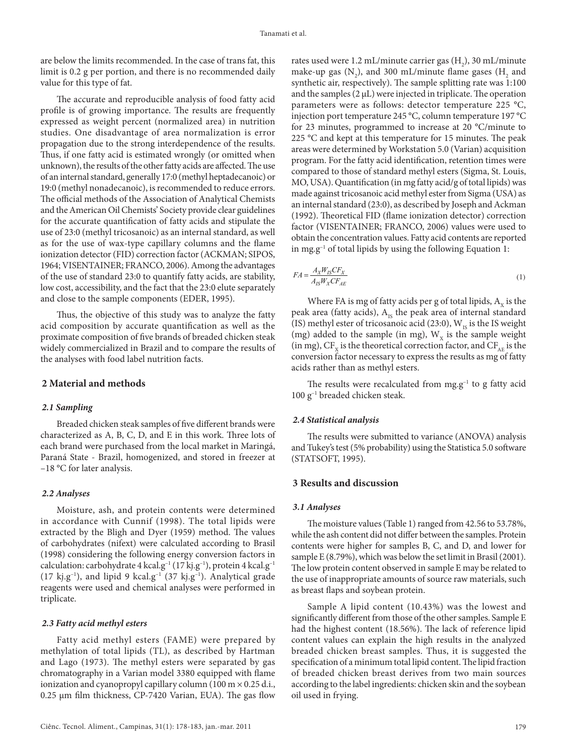are below the limits recommended. In the case of trans fat, this limit is 0.2 g per portion, and there is no recommended daily value for this type of fat.

The accurate and reproducible analysis of food fatty acid profile is of growing importance. The results are frequently expressed as weight percent (normalized area) in nutrition studies. One disadvantage of area normalization is error propagation due to the strong interdependence of the results. Thus, if one fatty acid is estimated wrongly (or omitted when unknown), the results of the other fatty acids are affected. The use of an internal standard, generally 17:0 (methyl heptadecanoic) or 19:0 (methyl nonadecanoic), is recommended to reduce errors. The official methods of the Association of Analytical Chemists and the American Oil Chemists' Society provide clear guidelines for the accurate quantification of fatty acids and stipulate the use of 23:0 (methyl tricosanoic) as an internal standard, as well as for the use of wax-type capillary columns and the flame ionization detector (FID) correction factor (ACKMAN; SIPOS, 1964; VISENTAINER; FRANCO, 2006). Among the advantages of the use of standard 23:0 to quantify fatty acids, are stability, low cost, accessibility, and the fact that the 23:0 elute separately and close to the sample components (EDER, 1995).

Thus, the objective of this study was to analyze the fatty acid composition by accurate quantification as well as the proximate composition of five brands of breaded chicken steak widely commercialized in Brazil and to compare the results of the analyses with food label nutrition facts.

## **2 Material and methods**

## *2.1 Sampling*

Breaded chicken steak samples of five different brands were characterized as A, B, C, D, and E in this work. Three lots of each brand were purchased from the local market in Maringá, Paraná State - Brazil, homogenized, and stored in freezer at –18 °C for later analysis.

## *2.2 Analyses*

Moisture, ash, and protein contents were determined in accordance with Cunnif (1998). The total lipids were extracted by the Bligh and Dyer (1959) method. The values of carbohydrates (nifext) were calculated according to Brasil (1998) considering the following energy conversion factors in calculation: carbohydrate 4 kcal.g<sup>-1</sup> (17 kj.g<sup>-1</sup>), protein 4 kcal.g<sup>-1</sup> (17 kj.g<sup>-1</sup>), and lipid 9 kcal.g<sup>-1</sup> (37 kj.g<sup>-1</sup>). Analytical grade reagents were used and chemical analyses were performed in triplicate.

#### *2.3 Fatty acid methyl esters*

Fatty acid methyl esters (FAME) were prepared by methylation of total lipids (TL), as described by Hartman and Lago (1973). The methyl esters were separated by gas chromatography in a Varian model 3380 equipped with flame ionization and cyanopropyl capillary column (100 m  $\times$  0.25 d.i., 0.25 μm film thickness, CP-7420 Varian, EUA). The gas flow

rates used were 1.2 mL/minute carrier gas  $(H_2)$ , 30 mL/minute make-up gas  $(N_2)$ , and 300 mL/minute flame gases  $(H_2)$  and synthetic air, respectively). The sample splitting rate was 1:100 and the samples  $(2 \mu L)$  were injected in triplicate. The operation parameters were as follows: detector temperature 225 °C, injection port temperature 245 °C, column temperature 197 °C for 23 minutes, programmed to increase at 20 °C/minute to 225 °C and kept at this temperature for 15 minutes. The peak areas were determined by Workstation 5.0 (Varian) acquisition program. For the fatty acid identification, retention times were compared to those of standard methyl esters (Sigma, St. Louis, MO, USA). Quantification (in mg fatty acid/g of total lipids) was made against tricosanoic acid methyl ester from Sigma (USA) as an internal standard (23:0), as described by Joseph and Ackman (1992). Theoretical FID (flame ionization detector) correction factor (VISENTAINER; FRANCO, 2006) values were used to obtain the concentration values. Fatty acid contents are reported in mg.g<sup>-1</sup> of total lipids by using the following Equation 1:

$$
FA = \frac{A_X W_{IS} C F_X}{A_{IS} W_X C F_{AE}}
$$
\n<sup>(1)</sup>

Where FA is mg of fatty acids per g of total lipids,  $A<sub>v</sub>$  is the peak area (fatty acids),  $A_{1s}$  the peak area of internal standard (IS) methyl ester of tricosanoic acid (23:0),  $W_{IS}$  is the IS weight (mg) added to the sample (in mg),  $W_x$  is the sample weight (in mg),  $CF_x$  is the theoretical correction factor, and  $CF_{AF}$  is the conversion factor necessary to express the results as mg of fatty acids rather than as methyl esters.

The results were recalculated from  $mg.g^{-1}$  to g fatty acid 100 g–1 breaded chicken steak.

### *2.4 Statistical analysis*

The results were submitted to variance (ANOVA) analysis and Tukey's test (5% probability) using the Statistica 5.0 software (STATSOFT, 1995).

## **3 Results and discussion**

#### *3.1 Analyses*

The moisture values (Table 1) ranged from 42.56 to 53.78%, while the ash content did not differ between the samples. Protein contents were higher for samples B, C, and D, and lower for sample E (8.79%), which was below the set limit in Brasil (2001). The low protein content observed in sample E may be related to the use of inappropriate amounts of source raw materials, such as breast flaps and soybean protein.

Sample A lipid content (10.43%) was the lowest and significantly different from those of the other samples. Sample E had the highest content (18.56%). The lack of reference lipid content values can explain the high results in the analyzed breaded chicken breast samples. Thus, it is suggested the specification of a minimum total lipid content. The lipid fraction of breaded chicken breast derives from two main sources according to the label ingredients: chicken skin and the soybean oil used in frying.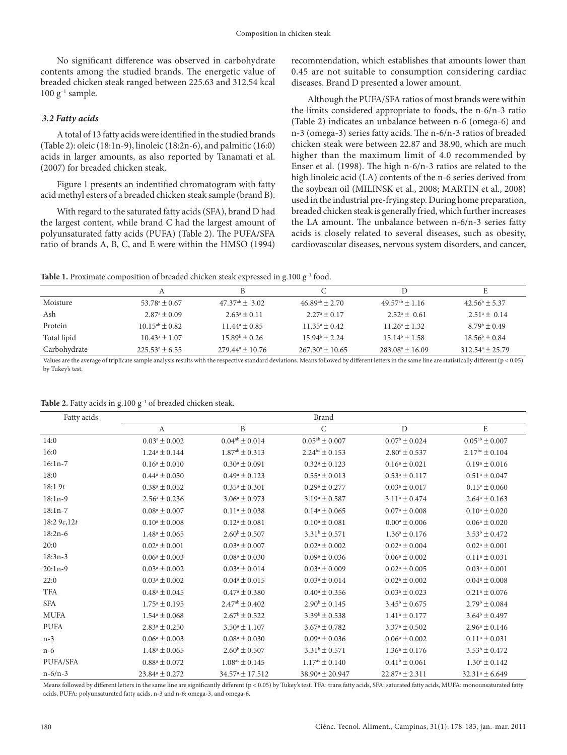No significant difference was observed in carbohydrate contents among the studied brands. The energetic value of breaded chicken steak ranged between 225.63 and 312.54 kcal  $100$  g<sup>-1</sup> sample.

## *3.2 Fatty acids*

A total of 13 fatty acids were identified in the studied brands (Table 2): oleic (18:1n-9), linoleic (18:2n-6), and palmitic (16:0) acids in larger amounts, as also reported by Tanamati et al. (2007) for breaded chicken steak.

Figure 1 presents an indentified chromatogram with fatty acid methyl esters of a breaded chicken steak sample (brand B).

With regard to the saturated fatty acids (SFA), brand D had the largest content, while brand C had the largest amount of polyunsaturated fatty acids (PUFA) (Table 2). The PUFA/SFA ratio of brands A, B, C, and E were within the HMSO (1994) recommendation, which establishes that amounts lower than 0.45 are not suitable to consumption considering cardiac diseases. Brand D presented a lower amount.

Although the PUFA/SFA ratios of most brands were within the limits considered appropriate to foods, the n-6/n-3 ratio (Table 2) indicates an unbalance between n-6 (omega-6) and n-3 (omega-3) series fatty acids. The n-6/n-3 ratios of breaded chicken steak were between 22.87 and 38.90, which are much higher than the maximum limit of 4.0 recommended by Enser et al. (1998). The high n-6/n-3 ratios are related to the high linoleic acid (LA) contents of the n-6 series derived from the soybean oil (MILINSK et al., 2008; MARTIN et al., 2008) used in the industrial pre-frying step. During home preparation, breaded chicken steak is generally fried, which further increases the LA amount. The unbalance between n-6/n-3 series fatty acids is closely related to several diseases, such as obesity, cardiovascular diseases, nervous system disorders, and cancer,

**Table 1.** Proximate composition of breaded chicken steak expressed in g.100  $g^{-1}$  food.

| Moisture     | $53.78^{\circ} \pm 0.67$  | $47.37^{ab} \pm 3.02$      | $46.89^{ab} \pm 2.70$      | $49.57^{ab} \pm 1.16$      | $42.56^{\rm b} \pm 5.37$   |
|--------------|---------------------------|----------------------------|----------------------------|----------------------------|----------------------------|
| Ash          | $2.87^{\circ} \pm 0.09$   | $2.63^{\circ} \pm 0.11$    | $2.27^{\rm a} \pm 0.17$    | $2.52^{\circ} \pm 0.61$    | $2.51^{\circ}$ ± 0.14      |
| Protein      | $10.15^{ab} \pm 0.82$     | $11.44^{\circ} \pm 0.85$   | $11.35^{\circ} \pm 0.42$   | $11.26^{\circ} \pm 1.32$   | $8.79^{\rm b} \pm 0.49$    |
| Total lipid  | $10.43^a \pm 1.07$        | $15.89^{\rm b} \pm 0.26$   | $15.94^{\circ} + 2.24$     | $15.14^{\circ} \pm 1.58$   | $18.56^{\rm b} \pm 0.84$   |
| Carbohydrate | $225.53^{\circ} \pm 6.55$ | $279.44^{\circ} \pm 10.76$ | $267.30^{\circ} \pm 10.65$ | $283.08^{\circ} \pm 16.09$ | $312.54^{\circ} \pm 25.79$ |

Values are the average of triplicate sample analysis results with the respective standard deviations. Means followed by different letters in the same line are statistically different (p < 0.05) by Tukey's test.

| Table 2. Fatty acids in $g.100 g^{-1}$ of breaded chicken steak. |
|------------------------------------------------------------------|
|------------------------------------------------------------------|

| Fatty acids   | <b>Brand</b>             |                              |                               |                          |                          |  |
|---------------|--------------------------|------------------------------|-------------------------------|--------------------------|--------------------------|--|
|               | A                        | B                            | $\mathsf{C}$                  | D                        | E                        |  |
| 14:0          | $0.03^a \pm 0.002$       | $0.04^{ab} \pm 0.014$        | $0.05^{ab} \pm 0.007$         | $0.07^{\rm b} \pm 0.024$ | $0.05^{ab} \pm 0.007$    |  |
| 16:0          | $1.24^a \pm 0.144$       | $1.87^{ab} \pm 0.313$        | $2.24^{bc} \pm 0.153$         | $2.80^{\circ} \pm 0.537$ | $2.17^{bc} \pm 0.104$    |  |
| $16:1n-7$     | $0.16^a \pm 0.010$       | $0.30^a \pm 0.091$           | $0.32^a \pm 0.123$            | $0.16^a \pm 0.021$       | $0.19^a \pm 0.016$       |  |
| 18:0          | $0.44^a \pm 0.050$       | $0.49^a \pm 0.123$           | $0.55^a \pm 0.013$            | $0.53^a \pm 0.117$       | $0.51^a \pm 0.047$       |  |
| 18:19t        | $0.38^a \pm 0.052$       | $0.35^a \pm 0.301$           | $0.29^a \pm 0.277$            | $0.03^a \pm 0.017$       | $0.15^a \pm 0.060$       |  |
| $18:1n-9$     | $2.56^{\circ} \pm 0.236$ | $3.06^a \pm 0.973$           | $3.19^a \pm 0.587$            | $3.11^a \pm 0.474$       | $2.64^a \pm 0.163$       |  |
| $18:1n-7$     | $0.08^a \pm 0.007$       | $0.11^a \pm 0.038$           | $0.14^a \pm 0.065$            | $0.07^a \pm 0.008$       | $0.10^a \pm 0.020$       |  |
| 18:2 $9c,12t$ | $0.10^a \pm 0.008$       | $0.12^a \pm 0.081$           | $0.10^a \pm 0.081$            | $0.00^a \pm 0.006$       | $0.06^a \pm 0.020$       |  |
| $18:2n-6$     | $1.48^a \pm 0.065$       | $2.60^{\rm b} \pm 0.507$     | $3.31^b \pm 0.571$            | $1.36^a \pm 0.176$       | $3.53^{\rm b} \pm 0.472$ |  |
| 20:0          | $0.02^a \pm 0.001$       | $0.03^a \pm 0.007$           | $0.02^a \pm 0.002$            | $0.02^a \pm 0.004$       | $0.02^a \pm 0.001$       |  |
| $18:3n-3$     | $0.06^a \pm 0.003$       | $0.08^a \pm 0.030$           | $0.09^a \pm 0.036$            | $0.06^a \pm 0.002$       | $0.11^a \pm 0.031$       |  |
| $20:1n-9$     | $0.03^a \pm 0.002$       | $0.03^a \pm 0.014$           | $0.03^a \pm 0.009$            | $0.02^a \pm 0.005$       | $0.03^a \pm 0.001$       |  |
| 22:0          | $0.03^a \pm 0.002$       | $0.04^a \pm 0.015$           | $0.03^a \pm 0.014$            | $0.02^a \pm 0.002$       | $0.04^a \pm 0.008$       |  |
| <b>TFA</b>    | $0.48^a \pm 0.045$       | $0.47^a \pm 0.380$           | $0.40^a \pm 0.356$            | $0.03^a \pm 0.023$       | $0.21^a \pm 0.076$       |  |
| <b>SFA</b>    | $1.75^a \pm 0.195$       | $2.47^{ab} \pm 0.402$        | $2.90^{\rm b} \pm 0.145$      | $3.45^{\rm b} \pm 0.675$ | $2.79^{\rm b} \pm 0.084$ |  |
| <b>MUFA</b>   | $1.54^a \pm 0.068$       | $2.67^{\rm b} \pm 0.522$     | $3.39^{\rm b} \pm 0.538$      | $1.41^a \pm 0.177$       | $3.64^{\rm b} \pm 0.497$ |  |
| <b>PUFA</b>   | $2.83^a \pm 0.250$       | $3.50^a \pm 1.107$           | $3.67^{\mathrm{a}} \pm 0.782$ | $3.37^a \pm 0.502$       | $2.96^a \pm 0.146$       |  |
| $n-3$         | $0.06^a \pm 0.003$       | $0.08^a \pm 0.030$           | $0.09^a \pm 0.036$            | $0.06^a \pm 0.002$       | $0.11^a \pm 0.031$       |  |
| $n-6$         | $1.48^a \pm 0.065$       | $2.60^{\rm b} \pm 0.507$     | $3.31^b \pm 0.571$            | $1.36^a \pm 0.176$       | $3.53^b \pm 0.472$       |  |
| PUFA/SFA      | $0.88^a \pm 0.072$       | $1.08^{\text{ac}} \pm 0.145$ | $1.17^{\text{ac}} \pm 0.140$  | $0.41^{\rm b} \pm 0.061$ | $1.30^{\circ} \pm 0.142$ |  |
| $n - 6/n - 3$ | $23.84a \pm 0.272$       | $34.57^a \pm 17.512$         | $38.90^a \pm 20.947$          | $22.87^a \pm 2.311$      | $32.31^a \pm 6.649$      |  |

Means followed by different letters in the same line are significantly different (p < 0.05) by Tukey's test. TFA: trans fatty acids, SFA: saturated fatty acids, MUFA: monounsaturated fatty acids, PUFA: polyunsaturated fatty acids, n-3 and n-6: omega-3, and omega-6.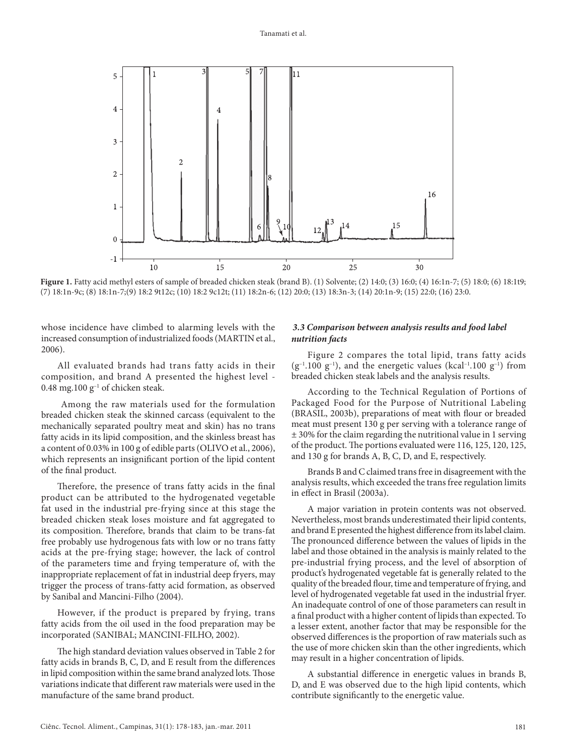

**Figure 1.** Fatty acid methyl esters of sample of breaded chicken steak (brand B). (1) Solvente; (2) 14:0; (3) 16:0; (4) 16:1n-7; (5) 18:0; (6) 18:1t9; (7) 18:1n-9c; (8) 18:1n-7;(9) 18:2 9t12c; (10) 18:2 9c12t; (11) 18:2n-6; (12) 20:0; (13) 18:3n-3; (14) 20:1n-9; (15) 22:0; (16) 23:0.

whose incidence have climbed to alarming levels with the increased consumption of industrialized foods (MARTIN et al., 2006).

All evaluated brands had trans fatty acids in their composition, and brand A presented the highest level - 0.48 mg.100  $g^{-1}$  of chicken steak.

 Among the raw materials used for the formulation breaded chicken steak the skinned carcass (equivalent to the mechanically separated poultry meat and skin) has no trans fatty acids in its lipid composition, and the skinless breast has a content of 0.03% in 100 g of edible parts (OLIVO et al., 2006), which represents an insignificant portion of the lipid content of the final product.

Therefore, the presence of trans fatty acids in the final product can be attributed to the hydrogenated vegetable fat used in the industrial pre-frying since at this stage the breaded chicken steak loses moisture and fat aggregated to its composition. Therefore, brands that claim to be trans-fat free probably use hydrogenous fats with low or no trans fatty acids at the pre-frying stage; however, the lack of control of the parameters time and frying temperature of, with the inappropriate replacement of fat in industrial deep fryers, may trigger the process of trans-fatty acid formation, as observed by Sanibal and Mancini-Filho (2004).

However, if the product is prepared by frying, trans fatty acids from the oil used in the food preparation may be incorporated (SANIBAL; MANCINI-FILHO, 2002).

The high standard deviation values observed in Table 2 for fatty acids in brands B, C, D, and E result from the differences in lipid composition within the same brand analyzed lots. Those variations indicate that different raw materials were used in the manufacture of the same brand product.

## *3.3 Comparison between analysis results and food label nutrition facts*

Figure 2 compares the total lipid, trans fatty acids  $(g^{-1}.100 \text{ g}^{-1})$ , and the energetic values (kcal<sup>-1</sup>.100 g<sup>-1</sup>) from breaded chicken steak labels and the analysis results.

According to the Technical Regulation of Portions of Packaged Food for the Purpose of Nutritional Labeling (BRASIL, 2003b), preparations of meat with flour or breaded meat must present 130 g per serving with a tolerance range of ± 30% for the claim regarding the nutritional value in 1 serving of the product. The portions evaluated were 116, 125, 120, 125, and 130 g for brands A, B, C, D, and E, respectively.

Brands B and C claimed trans free in disagreement with the analysis results, which exceeded the trans free regulation limits in effect in Brasil (2003a).

A major variation in protein contents was not observed. Nevertheless, most brands underestimated their lipid contents, and brand E presented the highest difference from its label claim. The pronounced difference between the values of lipids in the label and those obtained in the analysis is mainly related to the pre-industrial frying process, and the level of absorption of product's hydrogenated vegetable fat is generally related to the quality of the breaded flour, time and temperature of frying, and level of hydrogenated vegetable fat used in the industrial fryer. An inadequate control of one of those parameters can result in a final product with a higher content of lipids than expected. To a lesser extent, another factor that may be responsible for the observed differences is the proportion of raw materials such as the use of more chicken skin than the other ingredients, which may result in a higher concentration of lipids.

A substantial difference in energetic values in brands B, D, and E was observed due to the high lipid contents, which contribute significantly to the energetic value.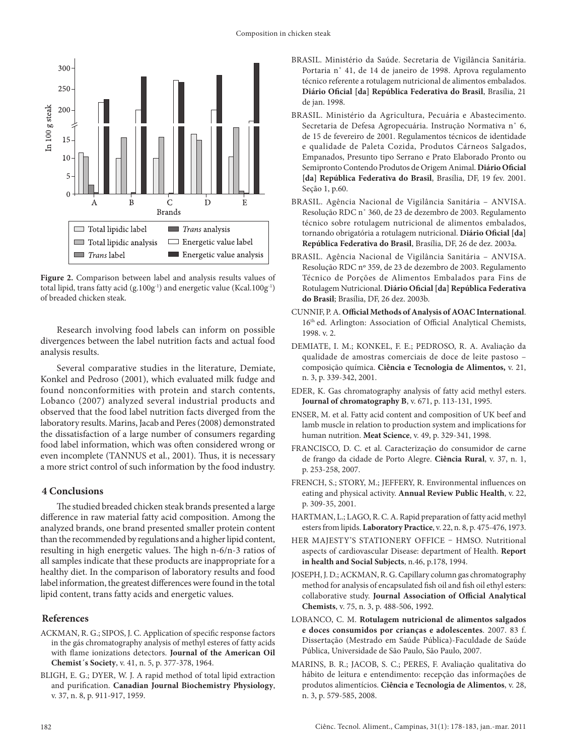

**Figure 2.** Comparison between label and analysis results values of total lipid, trans fatty acid (g.100g<sup>-1</sup>) and energetic value (Kcal.100g<sup>-1</sup>) of breaded chicken steak.

Research involving food labels can inform on possible divergences between the label nutrition facts and actual food analysis results.

Several comparative studies in the literature, Demiate, Konkel and Pedroso (2001), which evaluated milk fudge and found nonconformities with protein and starch contents, Lobanco (2007) analyzed several industrial products and observed that the food label nutrition facts diverged from the laboratory results. Marins, Jacab and Peres (2008) demonstrated the dissatisfaction of a large number of consumers regarding food label information, which was often considered wrong or even incomplete (TANNUS et al., 2001). Thus, it is necessary a more strict control of such information by the food industry.

# **4 Conclusions**

The studied breaded chicken steak brands presented a large difference in raw material fatty acid composition. Among the analyzed brands, one brand presented smaller protein content than the recommended by regulations and a higher lipid content, resulting in high energetic values. The high n-6/n-3 ratios of all samples indicate that these products are inappropriate for a healthy diet. In the comparison of laboratory results and food label information, the greatest differences were found in the total lipid content, trans fatty acids and energetic values.

# **References**

- ACKMAN, R. G.; SIPOS, J. C. Application of specific response factors in the gás chromatography analysis of methyl esteres of fatty acids with flame ionizations detectors. **Journal of the American Oil Chemist´s Society**, v. 41, n. 5, p. 377-378, 1964.
- BLIGH, E. G.; DYER, W. J. A rapid method of total lipid extraction and purification. **Canadian Journal Biochemistry Physiology**, v. 37, n. 8, p. 911-917, 1959.
- BRASIL. Ministério da Saúde. Secretaria de Vigilância Sanitária. Portaria n˚ 41, de 14 de janeiro de 1998. Aprova regulamento técnico referente a rotulagem nutricional de alimentos embalados. **Diário Oficial [da] República Federativa do Brasil**, Brasília, 21 de jan. 1998.
- BRASIL. Ministério da Agricultura, Pecuária e Abastecimento. Secretaria de Defesa Agropecuária. Instrução Normativa n˚ 6, de 15 de fevereiro de 2001. Regulamentos técnicos de identidade e qualidade de Paleta Cozida, Produtos Cárneos Salgados, Empanados, Presunto tipo Serrano e Prato Elaborado Pronto ou Semipronto Contendo Produtos de Origem Animal. **Diário Oficial [da] República Federativa do Brasil**, Brasília, DF, 19 fev. 2001. Seção 1, p.60.
- BRASIL. Agência Nacional de Vigilância Sanitária ANVISA. Resolução RDC n˚ 360, de 23 de dezembro de 2003. Regulamento técnico sobre rotulagem nutricional de alimentos embalados, tornando obrigatória a rotulagem nutricional. **Diário Oficial [da] República Federativa do Brasil**, Brasília, DF, 26 de dez. 2003a.
- BRASIL. Agência Nacional de Vigilância Sanitária ANVISA. Resolução RDC nº 359, de 23 de dezembro de 2003. Regulamento Técnico de Porções de Alimentos Embalados para Fins de Rotulagem Nutricional. **Diário Oficial [da] República Federativa do Brasil**; Brasília, DF, 26 dez. 2003b.
- CUNNIF, P. A. **Official Methods of Analysis of AOAC International**. 16th ed. Arlington: Association of Official Analytical Chemists, 1998. v. 2.
- DEMIATE, I. M.; KONKEL, F. E.; PEDROSO, R. A. Avaliação da qualidade de amostras comerciais de doce de leite pastoso – composição química. **Ciência e Tecnologia de Alimentos,** v. 21, n. 3, p. 339-342, 2001.
- EDER, K. Gas chromatography analysis of fatty acid methyl esters. **Journal of chromatography B**, v. 671, p. 113-131, 1995.
- ENSER, M. et al. Fatty acid content and composition of UK beef and lamb muscle in relation to production system and implications for human nutrition. **Meat Science**, v. 49, p. 329-341, 1998.
- FRANCISCO, D. C. et al. Caracterização do consumidor de carne de frango da cidade de Porto Alegre. **Ciência Rural**, v. 37, n. 1, p. 253-258, 2007.
- FRENCH, S.; STORY, M.; JEFFERY, R. Environmental influences on eating and physical activity. **Annual Review Public Health**, v. 22, p. 309-35, 2001.
- HARTMAN, L.; LAGO, R. C. A. Rapid preparation of fatty acid methyl esters from lipids. **Laboratory Practice**, v. 22, n. 8, p. 475-476, 1973.
- HER MAJESTY'S STATIONERY OFFICE HMSO. Nutritional aspects of cardiovascular Disease: department of Health. **Report in health and Social Subjects**, n.46, p.178, 1994.
- JOSEPH, J. D.; ACKMAN, R. G. Capillary column gas chromatography method for analysis of encapsulated fish oil and fish oil ethyl esters: collaborative study. **Journal Association of Official Analytical Chemists**, v. 75, n. 3, p. 488-506, 1992.
- LOBANCO, C. M. **Rotulagem nutricional de alimentos salgados e doces consumidos por crianças e adolescentes**. 2007. 83 f. Dissertação (Mestrado em Saúde Pública)-Faculdade de Saúde Pública, Universidade de São Paulo, São Paulo, 2007.
- MARINS, B. R.; JACOB, S. C.; PERES, F. Avaliação qualitativa do hábito de leitura e entendimento: recepção das informações de produtos alimentícios. **Ciência e Tecnologia de Alimentos**, v. 28, n. 3, p. 579-585, 2008.